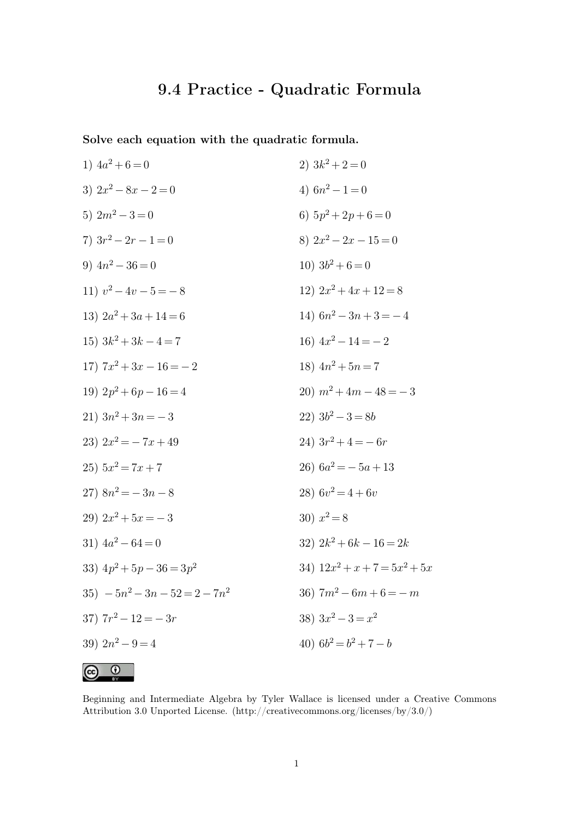## **9.4 Practice - Quadratic Formula**

**Solve each equation with the quadratic formula.**

1) 
$$
4a^2 + 6 = 0
$$
  
\n2)  $3k^2 + 2 = 0$   
\n3)  $2x^2 - 8x - 2 = 0$   
\n4)  $6n^2 - 1 = 0$   
\n5)  $2m^2 - 3 = 0$   
\n6)  $5p^2 + 2p + 6 = 0$   
\n7)  $3r^2 - 2r - 1 = 0$   
\n8)  $2x^2 - 2x - 15 = 0$   
\n9)  $4n^2 - 36 = 0$   
\n10)  $3b^2 + 6 = 0$   
\n11)  $v^2 - 4v - 5 = -8$   
\n12)  $2x^2 + 4x + 12 = 8$   
\n13)  $2a^2 + 3a + 14 = 6$   
\n14)  $6n^2 - 3n + 3 = -4$   
\n15)  $3k^2 + 3k - 4 = 7$   
\n16)  $4x^2 - 14 = -2$   
\n17)  $7x^2 + 3x - 16 = -2$   
\n18)  $4n^2 + 5n = 7$   
\n19)  $2p^2 + 6p - 16 = 4$   
\n20)  $m^2 + 4m - 48 = -3$   
\n21)  $3n^2 + 3n = -3$   
\n22)  $3b^2 - 3 = 8b$   
\n23)  $2x^2 = -7x + 49$   
\n24)  $3r^2 + 4 = -6r$   
\n25)  $5x^2 = 7x + 7$   
\n26)  $6a^2 = -5a + 13$   
\n27)  $8n^2 = -3n - 8$   
\n28)  $6v^2 = 4 + 6v$   
\n29)  $2x^2 + 5x = -3$   
\n31)  $4a^2 - 64 = 0$   
\n32)  $2k^2 + 6k - 16 = 2k$   
\n33)  $4p^2 + 5p - 36 = 3$ 

 $\odot$   $\odot$ 

Beginning and Intermediate Algebra by Tyler Wallace is licensed under a Creative Commons Attribution 3.0 Unported License.  $(\text{http://creativecommons.org/licenses/by/3.0/">\ntivex·$